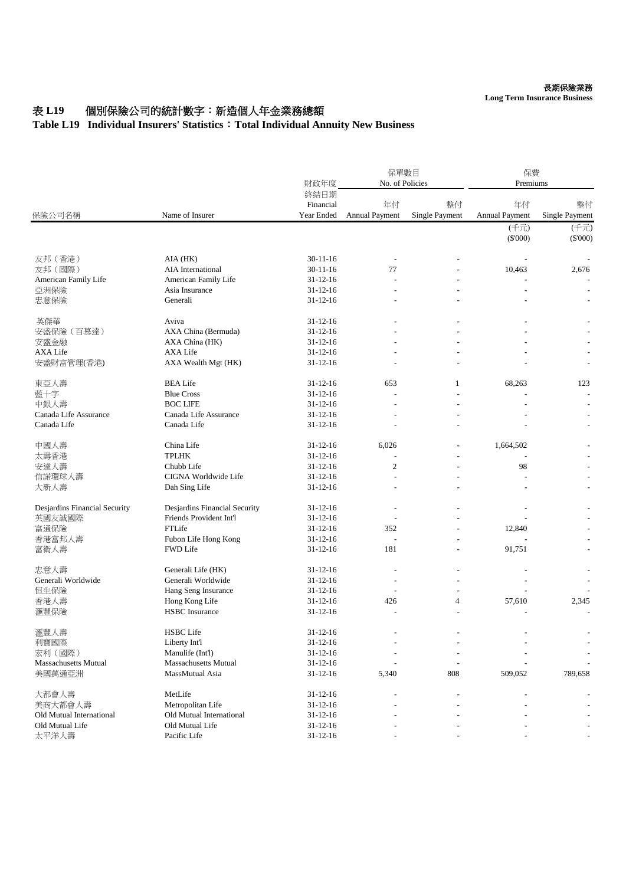## 表 L19 個別保險公司的統計數字: 新造個人年金業務總額

## **Table L19 Individual Insurers' Statistics**:**Total Individual Annuity New Business**

| 保險公司名稱                        | Name of Insurer               | 財政年度                            | 保單數目<br>No. of Policies     |                             | 保費<br>Premiums       |                      |
|-------------------------------|-------------------------------|---------------------------------|-----------------------------|-----------------------------|----------------------|----------------------|
|                               |                               | 終結日期<br>Financial<br>Year Ended | 年付<br><b>Annual Payment</b> | 整付<br><b>Single Payment</b> | 年付<br>Annual Payment | 整付<br>Single Payment |
|                               |                               |                                 |                             |                             | (千元)                 | (千元)                 |
|                               |                               |                                 |                             |                             | $(\$'000)$           | $(\$'000)$           |
| 友邦 (香港)                       | AIA (HK)                      | $30-11-16$                      |                             |                             |                      |                      |
| 友邦 (國際)                       | AIA International             | $30 - 11 - 16$                  | 77                          |                             | 10,463               | 2,676                |
| American Family Life          | American Family Life          | $31 - 12 - 16$                  |                             |                             |                      |                      |
| 亞洲保險                          | Asia Insurance                | $31 - 12 - 16$                  |                             |                             |                      |                      |
| 忠意保險                          | Generali                      | $31 - 12 - 16$                  |                             |                             |                      |                      |
| 英傑華                           | Aviva                         | $31 - 12 - 16$                  |                             |                             |                      |                      |
| 安盛保險(百慕達)                     | AXA China (Bermuda)           | $31 - 12 - 16$                  |                             |                             |                      |                      |
| 安盛金融                          | AXA China (HK)                | $31 - 12 - 16$                  |                             |                             |                      |                      |
| <b>AXA Life</b>               | <b>AXA Life</b>               | $31 - 12 - 16$                  |                             |                             |                      |                      |
| 安盛財富管理(香港)                    | AXA Wealth Mgt (HK)           | $31 - 12 - 16$                  |                             |                             |                      |                      |
| 東亞人壽                          | <b>BEA Life</b>               | $31 - 12 - 16$                  | 653                         | 1                           | 68,263               | 123                  |
| 藍十字                           | <b>Blue Cross</b>             | $31 - 12 - 16$                  |                             |                             |                      |                      |
| 中銀人壽                          | <b>BOC LIFE</b>               | $31 - 12 - 16$                  |                             |                             |                      |                      |
| Canada Life Assurance         | Canada Life Assurance         | $31 - 12 - 16$                  |                             |                             |                      |                      |
| Canada Life                   | Canada Life                   | $31 - 12 - 16$                  |                             |                             |                      |                      |
| 中國人壽                          | China Life                    | $31 - 12 - 16$                  | 6,026                       |                             | 1,664,502            |                      |
| 太壽香港                          | <b>TPLHK</b>                  | $31 - 12 - 16$                  |                             |                             |                      |                      |
| 安達人壽                          | Chubb Life                    | $31 - 12 - 16$                  | $\overline{c}$              |                             | 98                   |                      |
| 信諾環球人壽                        | CIGNA Worldwide Life          | $31 - 12 - 16$                  |                             |                             |                      |                      |
| 大新人壽                          | Dah Sing Life                 | $31 - 12 - 16$                  |                             |                             |                      |                      |
| Desjardins Financial Security | Desjardins Financial Security | $31 - 12 - 16$                  | $\overline{a}$              |                             |                      |                      |
| 英國友誠國際                        | Friends Provident Int'l       | $31 - 12 - 16$                  |                             |                             |                      |                      |
| 富通保險                          | FTLife                        | $31 - 12 - 16$                  | 352                         |                             | 12,840               |                      |
| 香港富邦人壽                        | Fubon Life Hong Kong          | $31 - 12 - 16$                  |                             |                             |                      |                      |
| 富衛人壽                          | <b>FWD Life</b>               | $31 - 12 - 16$                  | 181                         |                             | 91,751               |                      |
| 忠意人壽                          | Generali Life (HK)            | $31 - 12 - 16$                  |                             |                             |                      |                      |
| Generali Worldwide            | Generali Worldwide            | $31 - 12 - 16$                  |                             |                             |                      |                      |
| 恒生保險                          | Hang Seng Insurance           | $31 - 12 - 16$                  |                             |                             |                      |                      |
| 香港人壽                          | Hong Kong Life                | $31 - 12 - 16$                  | 426                         | $\overline{4}$              | 57,610               | 2,345                |
| 滙豐保險                          | <b>HSBC</b> Insurance         | $31 - 12 - 16$                  |                             |                             |                      |                      |
| 滙豐人壽                          | <b>HSBC</b> Life              | $31 - 12 - 16$                  |                             |                             |                      |                      |
| 利寶國際                          | Liberty Int'l                 | $31 - 12 - 16$                  |                             |                             |                      |                      |
| 宏利 (國際)                       | Manulife (Int'l)              | $31 - 12 - 16$                  |                             |                             |                      |                      |
| <b>Massachusetts Mutual</b>   | <b>Massachusetts Mutual</b>   | $31 - 12 - 16$                  |                             |                             |                      |                      |
| 美國萬通亞洲                        | MassMutual Asia               | $31 - 12 - 16$                  | 5,340                       | 808                         | 509,052              | 789,658              |
| 大都會人壽                         | MetLife                       | $31 - 12 - 16$                  |                             |                             |                      |                      |
| 美商大都會人壽                       | Metropolitan Life             | $31 - 12 - 16$                  |                             |                             |                      |                      |
| Old Mutual International      | Old Mutual International      | $31 - 12 - 16$                  |                             |                             |                      |                      |
| Old Mutual Life               | Old Mutual Life               | $31 - 12 - 16$                  |                             |                             |                      |                      |
| 太平洋人壽                         | Pacific Life                  | $31 - 12 - 16$                  |                             |                             |                      |                      |